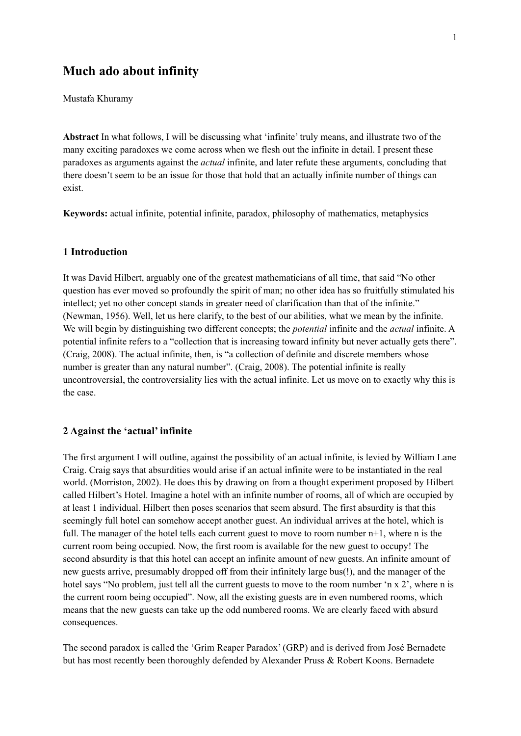# **Much ado about infinity**

Mustafa Khuramy

**Abstract** In what follows, I will be discussing what 'infinite' truly means, and illustrate two of the many exciting paradoxes we come across when we flesh out the infinite in detail. I present these paradoxes as arguments against the *actual* infinite, and later refute these arguments, concluding that there doesn't seem to be an issue for those that hold that an actually infinite number of things can exist.

**Keywords:** actual infinite, potential infinite, paradox, philosophy of mathematics, metaphysics

## **1 Introduction**

It was David Hilbert, arguably one of the greatest mathematicians of all time, that said "No other question has ever moved so profoundly the spirit of man; no other idea has so fruitfully stimulated his intellect; yet no other concept stands in greater need of clarification than that of the infinite." (Newman, 1956). Well, let us here clarify, to the best of our abilities, what we mean by the infinite. We will begin by distinguishing two different concepts; the *potential* infinite and the *actual* infinite. A potential infinite refers to a "collection that is increasing toward infinity but never actually gets there". (Craig, 2008). The actual infinite, then, is "a collection of definite and discrete members whose number is greater than any natural number". (Craig, 2008). The potential infinite is really uncontroversial, the controversiality lies with the actual infinite. Let us move on to exactly why this is the case.

### **2 Against the 'actual' infinite**

The first argument I will outline, against the possibility of an actual infinite, is levied by William Lane Craig. Craig says that absurdities would arise if an actual infinite were to be instantiated in the real world. (Morriston, 2002). He does this by drawing on from a thought experiment proposed by Hilbert called Hilbert's Hotel. Imagine a hotel with an infinite number of rooms, all of which are occupied by at least 1 individual. Hilbert then poses scenarios that seem absurd. The first absurdity is that this seemingly full hotel can somehow accept another guest. An individual arrives at the hotel, which is full. The manager of the hotel tells each current guest to move to room number  $n+1$ , where n is the current room being occupied. Now, the first room is available for the new guest to occupy! The second absurdity is that this hotel can accept an infinite amount of new guests. An infinite amount of new guests arrive, presumably dropped off from their infinitely large bus(!), and the manager of the hotel says "No problem, just tell all the current guests to move to the room number 'n x 2', where n is the current room being occupied". Now, all the existing guests are in even numbered rooms, which means that the new guests can take up the odd numbered rooms. We are clearly faced with absurd consequences.

The second paradox is called the 'Grim Reaper Paradox' (GRP) and is derived from José Bernadete but has most recently been thoroughly defended by Alexander Pruss & Robert Koons. Bernadete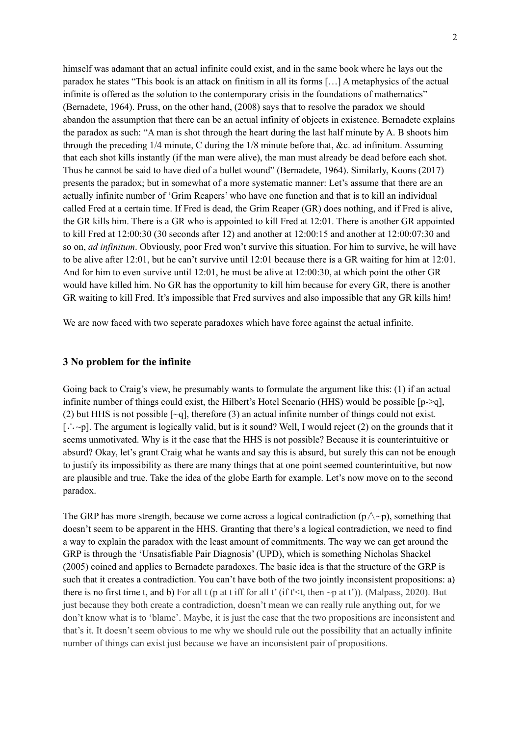himself was adamant that an actual infinite could exist, and in the same book where he lays out the paradox he states "This book is an attack on finitism in all its forms […] A metaphysics of the actual infinite is offered as the solution to the contemporary crisis in the foundations of mathematics" (Bernadete, 1964). Pruss, on the other hand, (2008) says that to resolve the paradox we should abandon the assumption that there can be an actual infinity of objects in existence. Bernadete explains the paradox as such: "A man is shot through the heart during the last half minute by A. B shoots him through the preceding 1/4 minute, C during the 1/8 minute before that, &c. ad infinitum. Assuming that each shot kills instantly (if the man were alive), the man must already be dead before each shot. Thus he cannot be said to have died of a bullet wound" (Bernadete, 1964). Similarly, Koons (2017) presents the paradox; but in somewhat of a more systematic manner: Let's assume that there are an actually infinite number of 'Grim Reapers' who have one function and that is to kill an individual called Fred at a certain time. If Fred is dead, the Grim Reaper (GR) does nothing, and if Fred is alive, the GR kills him. There is a GR who is appointed to kill Fred at 12:01. There is another GR appointed to kill Fred at 12:00:30 (30 seconds after 12) and another at 12:00:15 and another at 12:00:07:30 and so on, *ad infinitum*. Obviously, poor Fred won't survive this situation. For him to survive, he will have to be alive after 12:01, but he can't survive until 12:01 because there is a GR waiting for him at 12:01. And for him to even survive until 12:01, he must be alive at 12:00:30, at which point the other GR would have killed him. No GR has the opportunity to kill him because for every GR, there is another GR waiting to kill Fred. It's impossible that Fred survives and also impossible that any GR kills him!

We are now faced with two seperate paradoxes which have force against the actual infinite.

#### **3 No problem for the infinite**

Going back to Craig's view, he presumably wants to formulate the argument like this: (1) if an actual infinite number of things could exist, the Hilbert's Hotel Scenario (HHS) would be possible  $[p>-q]$ , (2) but HHS is not possible  $[\sim q]$ , therefore (3) an actual infinite number of things could not exist. [∴~p]. The argument is logically valid, but is it sound? Well, I would reject (2) on the grounds that it seems unmotivated. Why is it the case that the HHS is not possible? Because it is counterintuitive or absurd? Okay, let's grant Craig what he wants and say this is absurd, but surely this can not be enough to justify its impossibility as there are many things that at one point seemed counterintuitive, but now are plausible and true. Take the idea of the globe Earth for example. Let's now move on to the second paradox.

The GRP has more strength, because we come across a logical contradiction  $(p \wedge \neg p)$ , something that doesn't seem to be apparent in the HHS. Granting that there's a logical contradiction, we need to find a way to explain the paradox with the least amount of commitments. The way we can get around the GRP is through the 'Unsatisfiable Pair Diagnosis' (UPD), which is something Nicholas Shackel (2005) coined and applies to Bernadete paradoxes. The basic idea is that the structure of the GRP is such that it creates a contradiction. You can't have both of the two jointly inconsistent propositions: a) there is no first time t, and b) For all t (p at t iff for all t' (if t' $\lt$ t, then  $\neg$ p at t')). (Malpass, 2020). But just because they both create a contradiction, doesn't mean we can really rule anything out, for we don't know what is to 'blame'. Maybe, it is just the case that the two propositions are inconsistent and that's it. It doesn't seem obvious to me why we should rule out the possibility that an actually infinite number of things can exist just because we have an inconsistent pair of propositions.